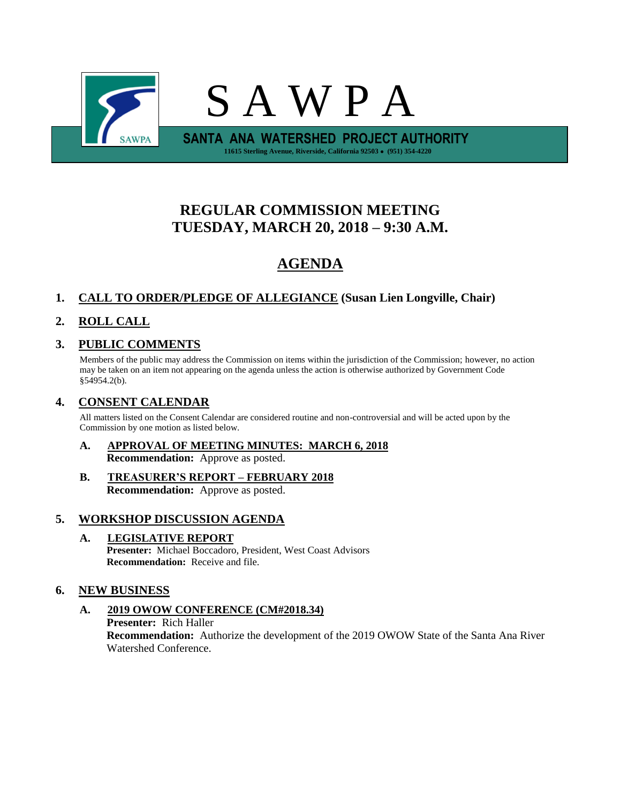

# **REGULAR COMMISSION MEETING TUESDAY, MARCH 20, 2018 – 9:30 A.M.**

# **AGENDA**

## **1. CALL TO ORDER/PLEDGE OF ALLEGIANCE (Susan Lien Longville, Chair)**

## **2. ROLL CALL**

### **3. PUBLIC COMMENTS**

Members of the public may address the Commission on items within the jurisdiction of the Commission; however, no action may be taken on an item not appearing on the agenda unless the action is otherwise authorized by Government Code §54954.2(b).

### **4. CONSENT CALENDAR**

All matters listed on the Consent Calendar are considered routine and non-controversial and will be acted upon by the Commission by one motion as listed below.

- **A. APPROVAL OF MEETING MINUTES: MARCH 6, 2018 Recommendation:** Approve as posted.
- **B. TREASURER'S REPORT – FEBRUARY 2018 Recommendation:** Approve as posted.

### **5. WORKSHOP DISCUSSION AGENDA**

**A. LEGISLATIVE REPORT Presenter:** Michael Boccadoro, President, West Coast Advisors **Recommendation:** Receive and file.

### **6. NEW BUSINESS**

**A. 2019 OWOW CONFERENCE (CM#2018.34) Presenter:** Rich Haller **Recommendation:** Authorize the development of the 2019 OWOW State of the Santa Ana River Watershed Conference.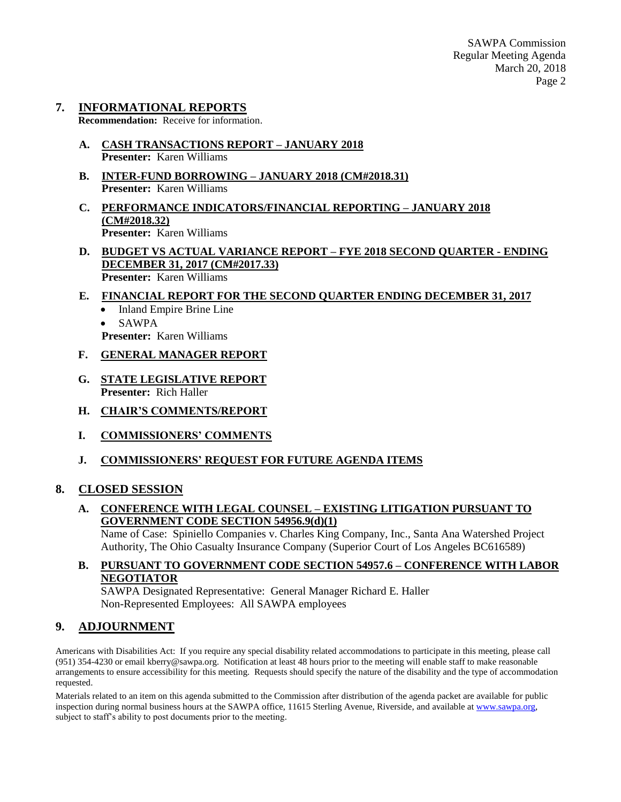# **7. INFORMATIONAL REPORTS**

**Recommendation:** Receive for information.

- **A. CASH TRANSACTIONS REPORT – JANUARY 2018 Presenter:** Karen Williams
- **B. INTER-FUND BORROWING – JANUARY 2018 (CM#2018.31) Presenter:** Karen Williams
- **C. PERFORMANCE INDICATORS/FINANCIAL REPORTING – JANUARY 2018 (CM#2018.32) Presenter:** Karen Williams
- **D. BUDGET VS ACTUAL VARIANCE REPORT – FYE 2018 SECOND QUARTER - ENDING DECEMBER 31, 2017 (CM#2017.33) Presenter:** Karen Williams
- **E. FINANCIAL REPORT FOR THE SECOND QUARTER ENDING DECEMBER 31, 2017**
	- Inland Empire Brine Line
	- SAWPA
	- **Presenter:** Karen Williams
- **F. GENERAL MANAGER REPORT**
- **G. STATE LEGISLATIVE REPORT Presenter:** Rich Haller
- **H. CHAIR'S COMMENTS/REPORT**
- **I. COMMISSIONERS' COMMENTS**
- **J. COMMISSIONERS' REQUEST FOR FUTURE AGENDA ITEMS**

#### **8. CLOSED SESSION**

**A. CONFERENCE WITH LEGAL COUNSEL – EXISTING LITIGATION PURSUANT TO GOVERNMENT CODE SECTION 54956.9(d)(1)**

Name of Case: Spiniello Companies v. Charles King Company, Inc., Santa Ana Watershed Project Authority, The Ohio Casualty Insurance Company (Superior Court of Los Angeles BC616589)

#### **B. PURSUANT TO GOVERNMENT CODE SECTION 54957.6 – CONFERENCE WITH LABOR NEGOTIATOR**

SAWPA Designated Representative: General Manager Richard E. Haller Non-Represented Employees: All SAWPA employees

### **9. ADJOURNMENT**

Americans with Disabilities Act: If you require any special disability related accommodations to participate in this meeting, please call (951) 354-4230 or email kberry@sawpa.org. Notification at least 48 hours prior to the meeting will enable staff to make reasonable arrangements to ensure accessibility for this meeting. Requests should specify the nature of the disability and the type of accommodation requested.

Materials related to an item on this agenda submitted to the Commission after distribution of the agenda packet are available for public inspection during normal business hours at the SAWPA office, 11615 Sterling Avenue, Riverside, and available a[t www.sawpa.org,](http://www.sawpa.org/) subject to staff's ability to post documents prior to the meeting.